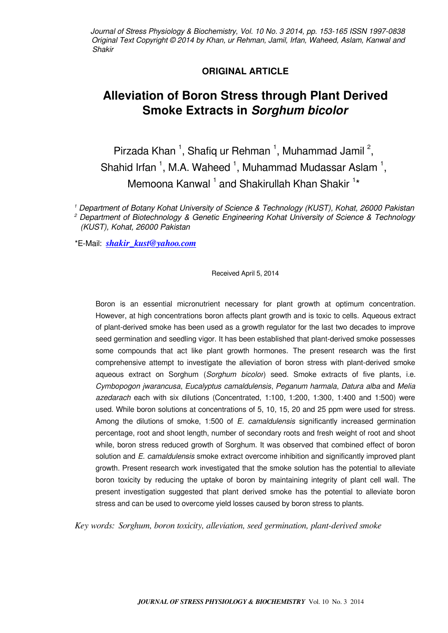Journal of Stress Physiology & Biochemistry, Vol. 10 No. 3 2014, pp. 153-165 ISSN 1997-0838 Original Text Copyright © 2014 by Khan, ur Rehman, Jamil, Irfan, Waheed, Aslam, Kanwal and Shakir

# **ORIGINAL ARTICLE**

# **Alleviation of Boron Stress through Plant Derived Smoke Extracts in Sorghum bicolor**

Pirzada Khan <sup>1</sup>, Shafiq ur Rehman <sup>1</sup>, Muhammad Jamil <sup>2</sup>, Shahid Irfan  $<sup>1</sup>$ , M.A. Waheed  $<sup>1</sup>$ , Muhammad Mudassar Aslam  $<sup>1</sup>$ ,</sup></sup></sup> Memoona Kanwal<sup>1</sup> and Shakirullah Khan Shakir<sup>1\*</sup>

1 Department of Botany Kohat University of Science & Technology (KUST), Kohat, 26000 Pakistan 2 Department of Biotechnology & Genetic Engineering Kohat University of Science & Technology (KUST), Kohat, 26000 Pakistan

\*E-Mail: *[shakir\\_kust@yahoo.com](mailto:shakir_kust@yahoo.com)*

Received April 5, 2014

Boron is an essential micronutrient necessary for plant growth at optimum concentration. However, at high concentrations boron affects plant growth and is toxic to cells. Aqueous extract of plant-derived smoke has been used as a growth regulator for the last two decades to improve seed germination and seedling vigor. It has been established that plant-derived smoke possesses some compounds that act like plant growth hormones. The present research was the first comprehensive attempt to investigate the alleviation of boron stress with plant-derived smoke aqueous extract on Sorghum (Sorghum bicolor) seed. Smoke extracts of five plants, i.e. Cymbopogon jwarancusa, Eucalyptus camaldulensis, Peganum harmala, Datura alba and Melia azedarach each with six dilutions (Concentrated, 1:100, 1:200, 1:300, 1:400 and 1:500) were used. While boron solutions at concentrations of 5, 10, 15, 20 and 25 ppm were used for stress. Among the dilutions of smoke, 1:500 of E. camaldulensis significantly increased germination percentage, root and shoot length, number of secondary roots and fresh weight of root and shoot while, boron stress reduced growth of Sorghum. It was observed that combined effect of boron solution and E. camaldulensis smoke extract overcome inhibition and significantly improved plant growth. Present research work investigated that the smoke solution has the potential to alleviate boron toxicity by reducing the uptake of boron by maintaining integrity of plant cell wall. The present investigation suggested that plant derived smoke has the potential to alleviate boron stress and can be used to overcome yield losses caused by boron stress to plants.

*Key words: Sorghum, boron toxicity, alleviation, seed germination, plant-derived smoke*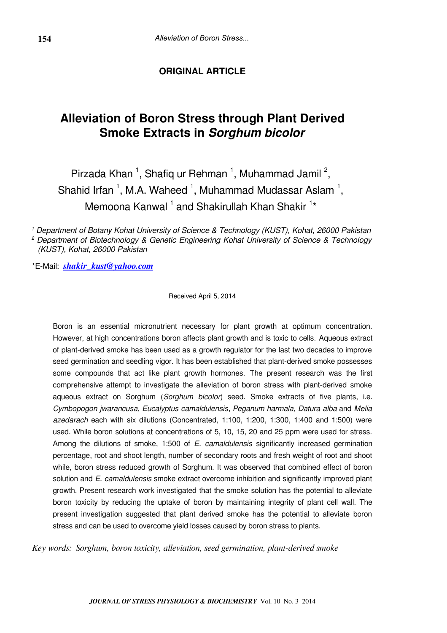# **ORIGINAL ARTICLE**

# **Alleviation of Boron Stress through Plant Derived Smoke Extracts in Sorghum bicolor**

Pirzada Khan<sup>1</sup>, Shafiq ur Rehman<sup>1</sup>, Muhammad Jamil<sup>2</sup>, Shahid Irfan  $^1$ , M.A. Waheed  $^1$ , Muhammad Mudassar Aslam  $^1$ , Memoona Kanwal<sup>1</sup> and Shakirullah Khan Shakir<sup>1\*</sup>

1 Department of Botany Kohat University of Science & Technology (KUST), Kohat, 26000 Pakistan <sup>2</sup> Department of Biotechnology & Genetic Engineering Kohat University of Science & Technology (KUST), Kohat, 26000 Pakistan

\*E-Mail: *[shakir\\_kust@yahoo.com](mailto:shakir_kust@yahoo.com)*

Received April 5, 2014

Boron is an essential micronutrient necessary for plant growth at optimum concentration. However, at high concentrations boron affects plant growth and is toxic to cells. Aqueous extract of plant-derived smoke has been used as a growth regulator for the last two decades to improve seed germination and seedling vigor. It has been established that plant-derived smoke possesses some compounds that act like plant growth hormones. The present research was the first comprehensive attempt to investigate the alleviation of boron stress with plant-derived smoke aqueous extract on Sorghum (Sorghum bicolor) seed. Smoke extracts of five plants, i.e. Cymbopogon jwarancusa, Eucalyptus camaldulensis, Peganum harmala, Datura alba and Melia azedarach each with six dilutions (Concentrated, 1:100, 1:200, 1:300, 1:400 and 1:500) were used. While boron solutions at concentrations of 5, 10, 15, 20 and 25 ppm were used for stress. Among the dilutions of smoke, 1:500 of *E. camaldulensis* significantly increased germination percentage, root and shoot length, number of secondary roots and fresh weight of root and shoot while, boron stress reduced growth of Sorghum. It was observed that combined effect of boron solution and E. camaldulensis smoke extract overcome inhibition and significantly improved plant growth. Present research work investigated that the smoke solution has the potential to alleviate boron toxicity by reducing the uptake of boron by maintaining integrity of plant cell wall. The present investigation suggested that plant derived smoke has the potential to alleviate boron stress and can be used to overcome yield losses caused by boron stress to plants.

*Key words: Sorghum, boron toxicity, alleviation, seed germination, plant-derived smoke*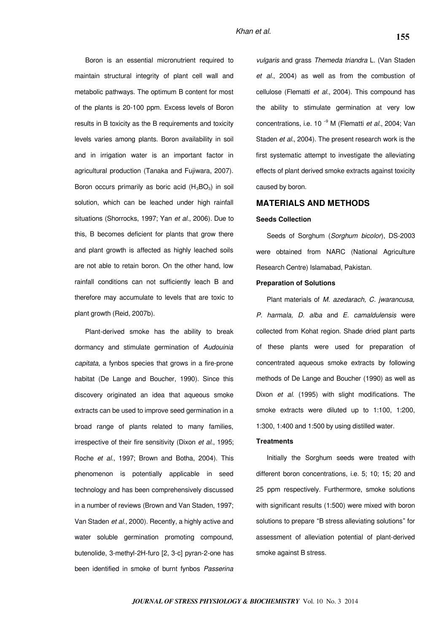Boron is an essential micronutrient required to maintain structural integrity of plant cell wall and metabolic pathways. The optimum B content for most of the plants is 20-100 ppm. Excess levels of Boron results in B toxicity as the B requirements and toxicity levels varies among plants. Boron availability in soil and in irrigation water is an important factor in agricultural production (Tanaka and Fujiwara, 2007). Boron occurs primarily as boric acid  $(H_3BO_3)$  in soil solution, which can be leached under high rainfall situations (Shorrocks, 1997; Yan et al., 2006). Due to this, B becomes deficient for plants that grow there and plant growth is affected as highly leached soils are not able to retain boron. On the other hand, low rainfall conditions can not sufficiently leach B and therefore may accumulate to levels that are toxic to plant growth (Reid, 2007b).

Plant-derived smoke has the ability to break dormancy and stimulate germination of Audouinia capitata, a fynbos species that grows in a fire-prone habitat (De Lange and Boucher, 1990). Since this discovery originated an idea that aqueous smoke extracts can be used to improve seed germination in a broad range of plants related to many families, irrespective of their fire sensitivity (Dixon et al., 1995; Roche et al., 1997; Brown and Botha, 2004). This phenomenon is potentially applicable in seed technology and has been comprehensively discussed in a number of reviews (Brown and Van Staden, 1997; Van Staden et al., 2000). Recently, a highly active and water soluble germination promoting compound, butenolide, 3-methyl-2H-furo [2, 3-c] pyran-2-one has been identified in smoke of burnt fynbos Passerina

vulgaris and grass Themeda triandra L. (Van Staden et al., 2004) as well as from the combustion of cellulose (Flematti et al., 2004). This compound has the ability to stimulate germination at very low concentrations, i.e. 10 $^{-9}$  M (Flematti *et al.*, 2004; Van Staden et al., 2004). The present research work is the first systematic attempt to investigate the alleviating effects of plant derived smoke extracts against toxicity caused by boron.

# **MATERIALS AND METHODS**

# **Seeds Collection**

Seeds of Sorghum (Sorghum bicolor), DS-2003 were obtained from NARC (National Agriculture Research Centre) Islamabad, Pakistan.

#### **Preparation of Solutions**

Plant materials of M. azedarach, C. jwarancusa, P. harmala, D. alba and E. camaldulensis were collected from Kohat region. Shade dried plant parts of these plants were used for preparation of concentrated aqueous smoke extracts by following methods of De Lange and Boucher (1990) as well as Dixon et al. (1995) with slight modifications. The smoke extracts were diluted up to 1:100, 1:200, 1:300, 1:400 and 1:500 by using distilled water.

### **Treatments**

Initially the Sorghum seeds were treated with different boron concentrations, i.e. 5; 10; 15; 20 and 25 ppm respectively. Furthermore, smoke solutions with significant results (1:500) were mixed with boron solutions to prepare "B stress alleviating solutions" for assessment of alleviation potential of plant-derived smoke against B stress.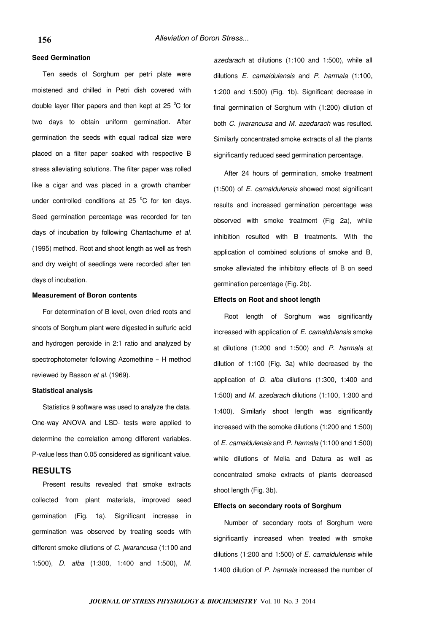# **Seed Germination**

Ten seeds of Sorghum per petri plate were moistened and chilled in Petri dish covered with double layer filter papers and then kept at 25  $^{\circ}$ C for two days to obtain uniform germination. After germination the seeds with equal radical size were placed on a filter paper soaked with respective B stress alleviating solutions. The filter paper was rolled like a cigar and was placed in a growth chamber under controlled conditions at 25  $^{\circ}$ C for ten days. Seed germination percentage was recorded for ten days of incubation by following Chantachume et al. (1995) method. Root and shoot length as well as fresh and dry weight of seedlings were recorded after ten days of incubation.

#### **Measurement of Boron contents**

For determination of B level, oven dried roots and shoots of Sorghum plant were digested in sulfuric acid and hydrogen peroxide in 2:1 ratio and analyzed by spectrophotometer following Azomethine – H method reviewed by Basson et al. (1969).

#### **Statistical analysis**

Statistics 9 software was used to analyze the data. One-way ANOVA and LSD- tests were applied to determine the correlation among different variables. P-value less than 0.05 considered as significant value.

# **RESULTS**

Present results revealed that smoke extracts collected from plant materials, improved seed germination (Fig. 1a). Significant increase in germination was observed by treating seeds with different smoke dilutions of C. jwarancusa (1:100 and 1:500), D. alba (1:300, 1:400 and 1:500), M.

azedarach at dilutions (1:100 and 1:500), while all dilutions E. camaldulensis and P. harmala (1:100, 1:200 and 1:500) (Fig. 1b). Significant decrease in final germination of Sorghum with (1:200) dilution of both C. jwarancusa and M. azedarach was resulted. Similarly concentrated smoke extracts of all the plants significantly reduced seed germination percentage.

After 24 hours of germination, smoke treatment (1:500) of E. camaldulensis showed most significant results and increased germination percentage was observed with smoke treatment (Fig 2a), while inhibition resulted with B treatments. With the application of combined solutions of smoke and B, smoke alleviated the inhibitory effects of B on seed germination percentage (Fig. 2b).

# **Effects on Root and shoot length**

Root length of Sorghum was significantly increased with application of E. camaldulensis smoke at dilutions (1:200 and 1:500) and P. harmala at dilution of 1:100 (Fig. 3a) while decreased by the application of D. alba dilutions (1:300, 1:400 and 1:500) and M. azedarach dilutions (1:100, 1:300 and 1:400). Similarly shoot length was significantly increased with the somoke dilutions (1:200 and 1:500) of E. camaldulensis and P. harmala (1:100 and 1:500) while dilutions of Melia and Datura as well as concentrated smoke extracts of plants decreased shoot length (Fig. 3b).

# **Effects on secondary roots of Sorghum**

Number of secondary roots of Sorghum were significantly increased when treated with smoke dilutions (1:200 and 1:500) of  $E$ . camaldulensis while 1:400 dilution of P. harmala increased the number of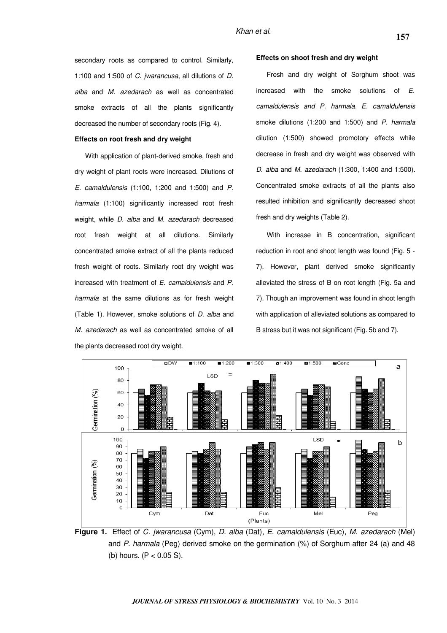secondary roots as compared to control. Similarly, 1:100 and 1:500 of C. jwarancusa, all dilutions of D. alba and M. azedarach as well as concentrated smoke extracts of all the plants significantly decreased the number of secondary roots (Fig. 4).

#### **Effects on root fresh and dry weight**

With application of plant-derived smoke, fresh and dry weight of plant roots were increased. Dilutions of E. camaldulensis (1:100, 1:200 and 1:500) and P. harmala (1:100) significantly increased root fresh weight, while *D. alba* and *M. azedarach* decreased root fresh weight at all dilutions. Similarly concentrated smoke extract of all the plants reduced fresh weight of roots. Similarly root dry weight was increased with treatment of E. camaldulensis and P. harmala at the same dilutions as for fresh weight (Table 1). However, smoke solutions of D. alba and M. azedarach as well as concentrated smoke of all the plants decreased root dry weight.

#### **Effects on shoot fresh and dry weight**

Fresh and dry weight of Sorghum shoot was increased with the smoke solutions of E. camaldulensis and P. harmala. E. camaldulensis smoke dilutions (1:200 and 1:500) and P. harmala dilution (1:500) showed promotory effects while decrease in fresh and dry weight was observed with D. alba and M. azedarach (1:300, 1:400 and 1:500). Concentrated smoke extracts of all the plants also resulted inhibition and significantly decreased shoot fresh and dry weights (Table 2).

With increase in B concentration, significant reduction in root and shoot length was found (Fig. 5 - 7). However, plant derived smoke significantly alleviated the stress of B on root length (Fig. 5a and 7). Though an improvement was found in shoot length with application of alleviated solutions as compared to B stress but it was not significant (Fig. 5b and 7).



**Figure 1.** Effect of C. jwarancusa (Cym), D. alba (Dat), E. camaldulensis (Euc), M. azedarach (Mel) and P. harmala (Peg) derived smoke on the germination  $\%$ ) of Sorghum after 24 (a) and 48 (b) hours.  $(P < 0.05 S)$ .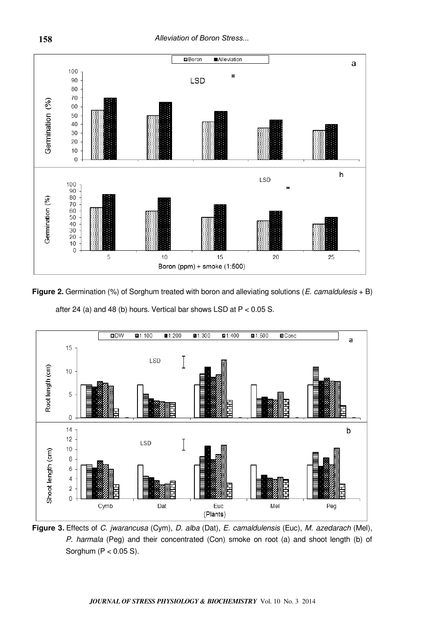

**Figure 2.** Germination (%) of Sorghum treated with boron and alleviating solutions (*E. camaldulesis* + B) after 24 (a) and 48 (b) hours. Vertical bar shows LSD at  $P < 0.05$  S.



**Figure 3.** Effects of C. jwarancusa (Cym), D. alba (Dat), E. camaldulensis (Euc), M. azedarach (Mel), P. harmala (Peg) and their concentrated (Con) smoke on root (a) and shoot length (b) of Sorghum (P < 0.05 S).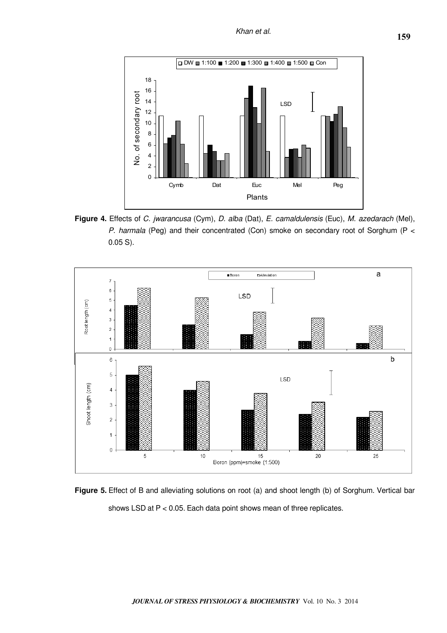

**Figure 4.** Effects of C. jwarancusa (Cym), D. alba (Dat), E. camaldulensis (Euc), M. azedarach (Mel), P. harmala (Peg) and their concentrated (Con) smoke on secondary root of Sorghum (P < 0.05 S).



**Figure 5.** Effect of B and alleviating solutions on root (a) and shoot length (b) of Sorghum. Vertical bar shows LSD at P < 0.05. Each data point shows mean of three replicates.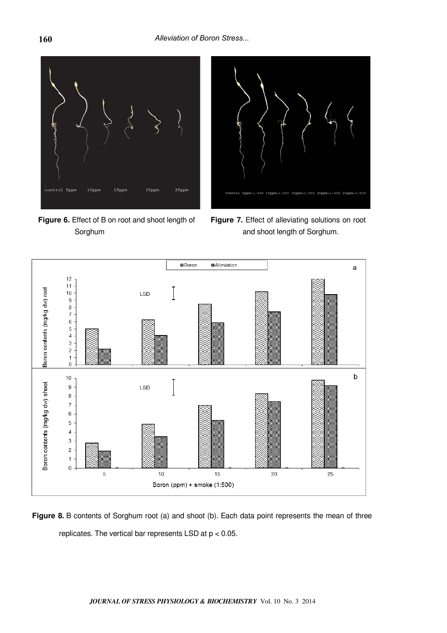

**Figure 6.** Effect of B on root and shoot length of Sorghum



**Figure 7.** Effect of alleviating solutions on root and shoot length of Sorghum.



Figure 8. B contents of Sorghum root (a) and shoot (b). Each data point represents the mean of three replicates. The vertical bar represents LSD at p < 0.05.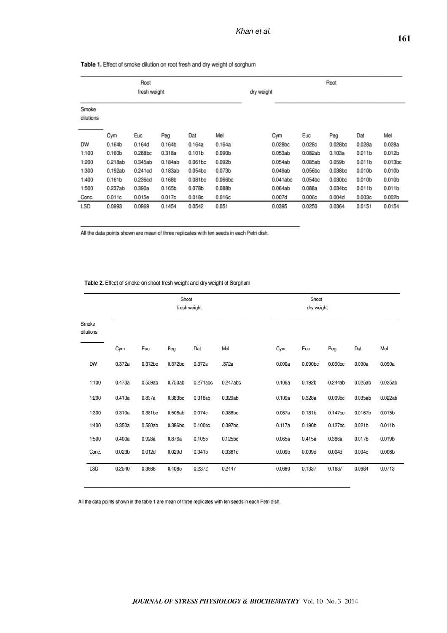| Root<br>fresh weight |                    |         |                    |                    | Root<br>dry weight |  |          |         |                     |                    |                    |
|----------------------|--------------------|---------|--------------------|--------------------|--------------------|--|----------|---------|---------------------|--------------------|--------------------|
| Smoke<br>dilutions   |                    |         |                    |                    |                    |  |          |         |                     |                    |                    |
|                      | Cym                | Euc     | Peg                | Dat                | Mel                |  | Cym      | Euc     | Peg                 | Dat                | Mel                |
| DW                   | 0.164b             | 0.164d  | 0.164b             | 0.164a             | 0.164a             |  | 0.028bc  | 0.028c  | 0.028 <sub>bc</sub> | 0.028a             | 0.028a             |
| 1:100                | 0.160 <sub>b</sub> | 0.288bc | 0.318a             | 0.101 <sub>b</sub> | 0.090 <sub>b</sub> |  | 0.053ab  | 0.082ab | 0.103a              | 0.011 <sub>b</sub> | 0.012 <sub>b</sub> |
| 1:200                | 0.218ab            | 0.345ab | 0.184ab            | 0.061bc            | 0.092b             |  | 0.054ab  | 0.085ab | 0.059 <sub>b</sub>  | 0.011 <sub>b</sub> | 0.013bc            |
| 1:300                | 0.192ab            | 0.241cd | 0.183ab            | 0.054bc            | 0.073b             |  | 0.049ab  | 0.056bc | 0.038bc             | 0.010 <sub>b</sub> | 0.010b             |
| 1:400                | 0.161 <sub>b</sub> | 0.236cd | 0.168b             | 0.081bc            | 0.066bc            |  | 0.041abc | 0.054bc | 0.030 <sub>bc</sub> | 0.010 <sub>b</sub> | 0.010 <sub>b</sub> |
| 1:500                | 0.237ab            | 0.390a  | 0.165 <sub>b</sub> | 0.078b             | 0.088 <sub>b</sub> |  | 0.064ab  | 0.088a  | 0.034bc             | 0.011 <sub>b</sub> | 0.011 <sub>b</sub> |
| Conc.                | 0.011c             | 0.015e  | 0.017c             | 0.018c             | 0.016c             |  | 0.007d   | 0.006c  | 0.004d              | 0.003c             | 0.002 <sub>b</sub> |
| LSD                  | 0.0993             | 0.0969  | 0.1454             | 0.0542             | 0.051              |  | 0.0395   | 0.0250  | 0.0364              | 0.0151             | 0.0154             |

Table 1. Effect of smoke dilution on root fresh and dry weight of sorghum

All the data points shown are mean of three replicates with ten seeds in each Petri dish.

Table 2. Effect of smoke on shoot fresh weight and dry weight of Sorghum

|                    |                    |         | Shoot   | fresh weight        |          |                    | Shoot<br>dry weight |         |                    |                    |
|--------------------|--------------------|---------|---------|---------------------|----------|--------------------|---------------------|---------|--------------------|--------------------|
| Smoke<br>dilutions |                    |         |         |                     |          |                    |                     |         |                    |                    |
|                    | Cym                | Euc     | Peg     | Dat                 | Mel      | Cym                | Euc                 | Peg     | Dat                | Mel                |
| <b>DW</b>          | 0.372a             | 0.372bc | 0.372bc | 0.372a              | .372a    | 0.090a             | 0.090bc             | 0.090bc | 0.090a             | 0.090a             |
| 1:100              | 0.473a             | 0.559ab | 0.750ab | 0.271abc            | 0.247abc | 0.106a             | 0.192 <sub>b</sub>  | 0.244ab | 0.025ab            | 0.025ab            |
| 1:200              | 0.413a             | 0.837a  | 0.383bc | 0.318ab             | 0.329ab  | 0.109a             | 0.328a              | 0.099bc | 0.035ab            | 0.022ab            |
| 1:300              | 0.310a             | 0.381bc | 0.506ab | 0.074c              | 0.086bc  | 0.087a             | 0.181 <sub>b</sub>  | 0.147bc | 0.0167b            | 0.015 <sub>b</sub> |
| 1:400              | 0.350a             | 0.580ab | 0.386bc | 0.100 <sub>bc</sub> | 0.097bc  | 0.117a             | 0.190b              | 0.127bc | 0.021 <sub>b</sub> | 0.011 <sub>b</sub> |
| 1:500              | 0.400a             | 0.928a  | 0.876a  | 0.105 <sub>b</sub>  | 0.125bc  | 0.065a             | 0.415a              | 0.386a  | 0.017 <sub>b</sub> | 0.019b             |
| Conc.              | 0.023 <sub>b</sub> | 0.012d  | 0.029d  | 0.041 <sub>b</sub>  | 0.0361c  | 0.009 <sub>b</sub> | 0.009d              | 0.004d  | 0.004c             | 0.006 <sub>b</sub> |
| LSD                | 0.2540             | 0.3988  | 0.4085  | 0.2372              | 0.2447   | 0.0690             | 0.1337              | 0.1637  | 0.0684             | 0.0713             |

All the data points shown in the table 1 are mean of three replicates with ten seeds in each Petri dish.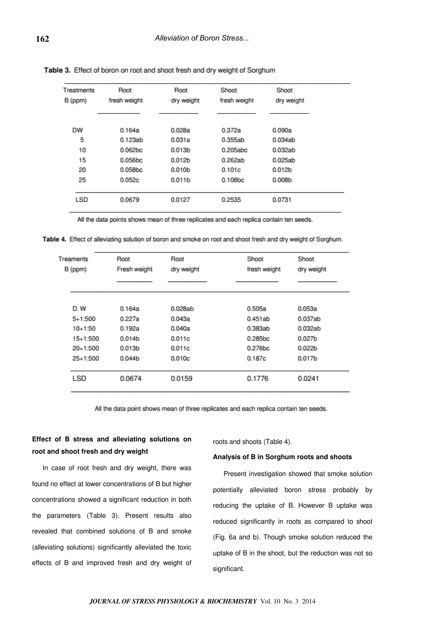| Treatments | Root                | Root               | Shoot               | Shoot              |
|------------|---------------------|--------------------|---------------------|--------------------|
| B (ppm)    | fresh weight        | dry weight         | fresh weight        | dry weight         |
|            |                     |                    |                     |                    |
| <b>DW</b>  | 0.164a              | 0.028a             | 0.372a              | 0.090a             |
| 5          | 0.123ab             | 0.031a             | 0.355ab             | 0.034ab            |
| 10         | 0.062 <sub>bc</sub> | 0.013 <sub>b</sub> | 0.205abc            | 0.032ab            |
| 15         | 0.056bc             | 0.012 <sub>b</sub> | 0.262ab             | 0.025ab            |
| 20         | 0.058bc             | 0.010 <sub>b</sub> | 0.101c              | 0.012b             |
| 25         | 0.052c              | 0.011 <sub>b</sub> | 0.108 <sub>bc</sub> | 0.008 <sub>b</sub> |
|            |                     |                    |                     |                    |
| <b>LSD</b> | 0.0679              | 0.0127             | 0.2535              | 0.0731             |

Table 3. Effect of boron on root and shoot fresh and dry weight of Sorghum

All the data points shows mean of three replicates and each replica contain ten seeds.

Table 4. Effect of alleviating solution of boron and smoke on root and shoot fresh and dry weight of Sorghum.

| Treaments<br>B (ppm) | Root<br>Fresh weight | Root<br>dry weight | Shoot<br>fresh weight | Shoot<br>dry weight |  |
|----------------------|----------------------|--------------------|-----------------------|---------------------|--|
| D.W                  | 0.164a               | 0.028ab            | 0.505a                | 0.053a              |  |
| 5+1:500              | 0.227a               | 0.043a             | 0.451ab               | 0.037ab             |  |
| $10+1:50$            | 0.192a               | 0.040a             | 0.383ab               | 0.032ab             |  |
| 15+1:500             | 0.014 <sub>b</sub>   | 0.011c             | 0.285bc               | 0.027 <sub>b</sub>  |  |
| 20+1:500             | 0.013 <sub>b</sub>   | 0.011c             | 0.276bc               | 0.022 <sub>b</sub>  |  |
| 25+1:500             | 0.044 <sub>b</sub>   | 0.010c             | 0.187c                | 0.017b              |  |
| LSD                  | 0.0674               | 0.0159             | 0.1776                | 0.0241              |  |

All the data point shows mean of three replicates and each replica contain ten seeds.

# **Effect of B stress and alleviating solutions on root and shoot fresh and dry weight**

roots and shoots (Table 4).

#### **Analysis of B in Sorghum roots and shoots**

In case of root fresh and dry weight, there was found no effect at lower concentrations of B but higher concentrations showed a significant reduction in both the parameters (Table 3). Present results also revealed that combined solutions of B and smoke (alleviating solutions) significantly alleviated the toxic effects of B and improved fresh and dry weight of

Present investigation showed that smoke solution potentially alleviated boron stress probably by reducing the uptake of B. However B uptake was reduced significantly in roots as compared to shoot (Fig. 6a and b). Though smoke solution reduced the uptake of B in the shoot, but the reduction was not so significant.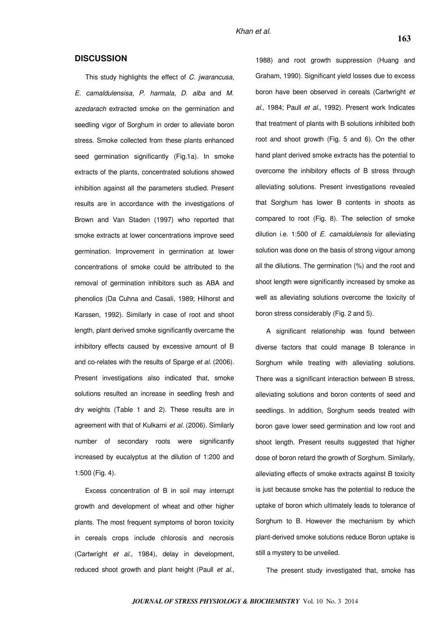# **DISCUSSION**

This study highlights the effect of C. jwarancusa, E. camaldulensisa, P. harmala, D. alba and M. azedarach extracted smoke on the germination and seedling vigor of Sorghum in order to alleviate boron stress. Smoke collected from these plants enhanced seed germination significantly (Fig.1a). In smoke extracts of the plants, concentrated solutions showed inhibition against all the parameters studied. Present results are in accordance with the investigations of Brown and Van Staden (1997) who reported that smoke extracts at lower concentrations improve seed germination. Improvement in germination at lower concentrations of smoke could be attributed to the removal of germination inhibitors such as ABA and phenolics (Da Cuhna and Casali, 1989; Hilhorst and Karssen, 1992). Similarly in case of root and shoot length, plant derived smoke significantly overcame the inhibitory effects caused by excessive amount of B and co-relates with the results of Sparge et al. (2006). Present investigations also indicated that, smoke solutions resulted an increase in seedling fresh and dry weights (Table 1 and 2). These results are in agreement with that of Kulkarni et al. (2006). Similarly number of secondary roots were significantly increased by eucalyptus at the dilution of 1:200 and 1:500 (Fig. 4).

Excess concentration of B in soil may interrupt growth and development of wheat and other higher plants. The most frequent symptoms of boron toxicity in cereals crops include chlorosis and necrosis (Cartwright et al., 1984), delay in development, reduced shoot growth and plant height (Paull et al.,

1988) and root growth suppression (Huang and Graham, 1990). Significant yield losses due to excess boron have been observed in cereals (Cartwright et al., 1984; Paull et al., 1992). Present work Indicates that treatment of plants with B solutions inhibited both root and shoot growth (Fig. 5 and 6). On the other hand plant derived smoke extracts has the potential to overcome the inhibitory effects of B stress through alleviating solutions. Present investigations revealed that Sorghum has lower B contents in shoots as compared to root (Fig. 8). The selection of smoke dilution i.e. 1:500 of  $E$ . camaldulensis for alleviating solution was done on the basis of strong vigour among all the dilutions. The germination (%) and the root and shoot length were significantly increased by smoke as well as alleviating solutions overcome the toxicity of boron stress considerably (Fig. 2 and 5).

A significant relationship was found between diverse factors that could manage B tolerance in Sorghum while treating with alleviating solutions. There was a significant interaction between B stress, alleviating solutions and boron contents of seed and seedlings. In addition, Sorghum seeds treated with boron gave lower seed germination and low root and shoot length. Present results suggested that higher dose of boron retard the growth of Sorghum. Similarly, alleviating effects of smoke extracts against B toxicity is just because smoke has the potential to reduce the uptake of boron which ultimately leads to tolerance of Sorghum to B. However the mechanism by which plant-derived smoke solutions reduce Boron uptake is still a mystery to be unveiled.

The present study investigated that, smoke has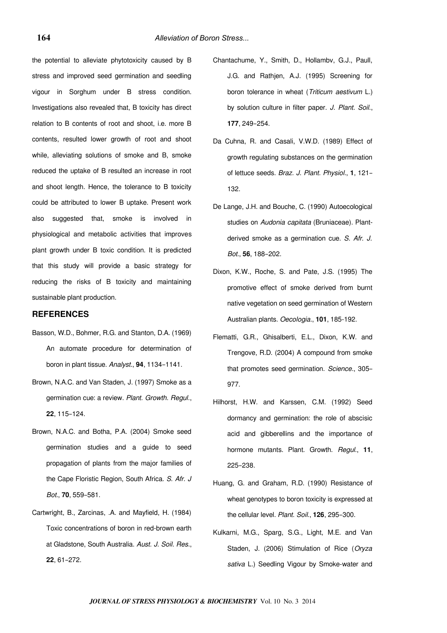the potential to alleviate phytotoxicity caused by B stress and improved seed germination and seedling vigour in Sorghum under B stress condition. Investigations also revealed that, B toxicity has direct relation to B contents of root and shoot, i.e. more B contents, resulted lower growth of root and shoot while, alleviating solutions of smoke and B, smoke reduced the uptake of B resulted an increase in root and shoot length. Hence, the tolerance to B toxicity could be attributed to lower B uptake. Present work also suggested that, smoke is involved in physiological and metabolic activities that improves plant growth under B toxic condition. It is predicted that this study will provide a basic strategy for reducing the risks of B toxicity and maintaining sustainable plant production.

### **REFERENCES**

- Basson, W.D., Bohmer, R.G. and Stanton, D.A. (1969) An automate procedure for determination of boron in plant tissue. Analyst., **94**, 1134–1141.
- Brown, N.A.C. and Van Staden, J. (1997) Smoke as a germination cue: a review. Plant. Growth. Regul., **22**, 115–124.
- Brown, N.A.C. and Botha, P.A. (2004) Smoke seed germination studies and a guide to seed propagation of plants from the major families of the Cape Floristic Region, South Africa. S. Afr. J Bot., **70**, 559–581.
- Cartwright, B., Zarcinas, .A. and Mayfield, H. (1984) Toxic concentrations of boron in red-brown earth at Gladstone, South Australia. Aust. J. Soil. Res., **22**, 61–272.
- Chantachume, Y., Smith, D., Hollambv, G.J., Paull, J.G. and Rathjen, A.J. (1995) Screening for boron tolerance in wheat (Triticum aestivum L.) by solution culture in filter paper. J. Plant. Soil., **177**, 249–254.
- Da Cuhna, R. and Casali, V.W.D. (1989) Effect of growth regulating substances on the germination of lettuce seeds. Braz. J. Plant. Physiol., **1**, 121– 132.
- De Lange, J.H. and Bouche, C. (1990) Autoecological studies on Audonia capitata (Bruniaceae). Plantderived smoke as a germination cue. S. Afr. J. Bot., **56**, 188–202.
- Dixon, K.W., Roche, S. and Pate, J.S. (1995) The promotive effect of smoke derived from burnt native vegetation on seed germination of Western Australian plants. Oecologia., **101**, 185-192.
- Flematti, G.R., Ghisalberti, E.L., Dixon, K.W. and Trengove, R.D. (2004) A compound from smoke that promotes seed germination. Science., 305– 977.
- Hilhorst, H.W. and Karssen, C.M. (1992) Seed dormancy and germination: the role of abscisic acid and gibberellins and the importance of hormone mutants. Plant. Growth. Regul., **11**, 225–238.
- Huang, G. and Graham, R.D. (1990) Resistance of wheat genotypes to boron toxicity is expressed at the cellular level. Plant. Soil., **126**, 295–300.
- Kulkarni, M.G., Sparg, S.G., Light, M.E. and Van Staden, J. (2006) Stimulation of Rice (Oryza sativa L.) Seedling Vigour by Smoke-water and